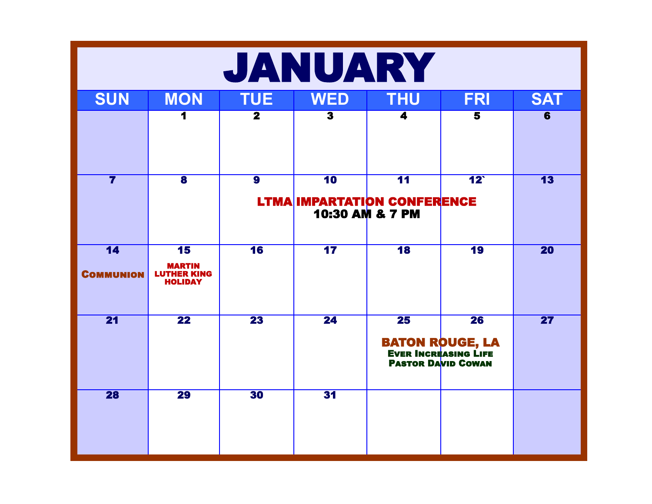| JANUARY                 |                                                             |                          |                         |                                                                             |                                           |                         |  |  |
|-------------------------|-------------------------------------------------------------|--------------------------|-------------------------|-----------------------------------------------------------------------------|-------------------------------------------|-------------------------|--|--|
| <b>SUN</b>              | <b>MON</b>                                                  | <b>TUE</b>               | <b>WED</b>              | <b>THU</b>                                                                  | <b>FRI</b>                                | <b>SAT</b>              |  |  |
|                         |                                                             | $\overline{\mathbf{2}}$  | $\overline{\mathbf{3}}$ | 4                                                                           | $\overline{\mathbf{5}}$                   | $\overline{\mathbf{6}}$ |  |  |
| $\overline{\mathbf{7}}$ | $\overline{\mathbf{8}}$                                     | $\overline{\mathbf{9}}$  | 10                      | $\overline{11}$<br><b>LTMA IMPARTATION CONFERENCE</b><br>10:30 AM & 7 PM    | $12^{\degree}$                            | $\overline{13}$         |  |  |
| 14<br><b>COMMUNION</b>  | 15<br><b>MARTIN</b><br><b>LUTHER KING</b><br><b>HOLIDAY</b> | $\overline{\mathbf{16}}$ | $\overline{17}$         | $\overline{18}$                                                             | $\overline{19}$                           | <b>20</b>               |  |  |
| $\overline{21}$         | $\overline{\mathbf{22}}$                                    | $\overline{23}$          | $\overline{24}$         | $\overline{25}$<br><b>EVER INCREASING LIFE</b><br><b>PASTOR DAVID COWAN</b> | $\overline{26}$<br><b>BATON ROUGE, LA</b> | $\overline{27}$         |  |  |
| <b>28</b>               | <b>29</b>                                                   | 30                       | 31                      |                                                                             |                                           |                         |  |  |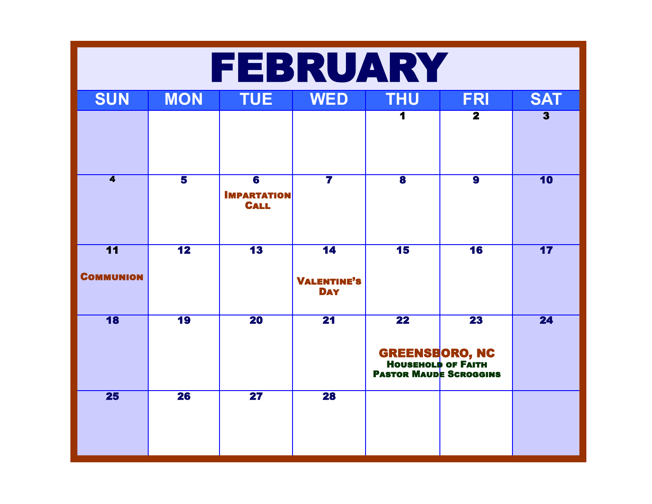| FEBRUARY                            |                          |                                                              |                                                     |                                                                                                          |                          |                         |  |  |  |
|-------------------------------------|--------------------------|--------------------------------------------------------------|-----------------------------------------------------|----------------------------------------------------------------------------------------------------------|--------------------------|-------------------------|--|--|--|
| <b>SUN</b>                          | <b>MON</b>               | <b>TUE</b>                                                   | <b>WED</b>                                          | <b>THU</b>                                                                                               | <b>FRI</b>               | <b>SAT</b>              |  |  |  |
|                                     |                          |                                                              |                                                     |                                                                                                          | $\overline{\mathbf{2}}$  | $\overline{\mathbf{3}}$ |  |  |  |
| $\overline{\mathbf{4}}$             | $\overline{\mathbf{5}}$  | $\overline{\mathbf{6}}$<br><b>IMPARTATION</b><br><b>CALL</b> | $\overline{\mathbf{7}}$                             | $\overline{\mathbf{8}}$                                                                                  | $\overline{\mathbf{9}}$  | 10                      |  |  |  |
| $\overline{11}$<br><b>COMMUNION</b> | $\overline{\mathbf{12}}$ | $\overline{\mathbf{13}}$                                     | $\overline{14}$<br><b>VALENTINE'S</b><br><b>DAY</b> | 15                                                                                                       | $\overline{\mathbf{16}}$ | 17                      |  |  |  |
| $\overline{\mathbf{18}}$            | $\overline{19}$          | $\overline{20}$                                              | $\overline{21}$                                     | $\overline{\mathbf{22}}$<br><b>GREENSBORO, NC</b><br>HOUSEHOLD OF FAITH<br><b>PASTOR MAUDE SCROGGINS</b> | $\overline{23}$          | 24                      |  |  |  |
| 25                                  | $\overline{26}$          | $\overline{\mathbf{27}}$                                     | $\overline{28}$                                     |                                                                                                          |                          |                         |  |  |  |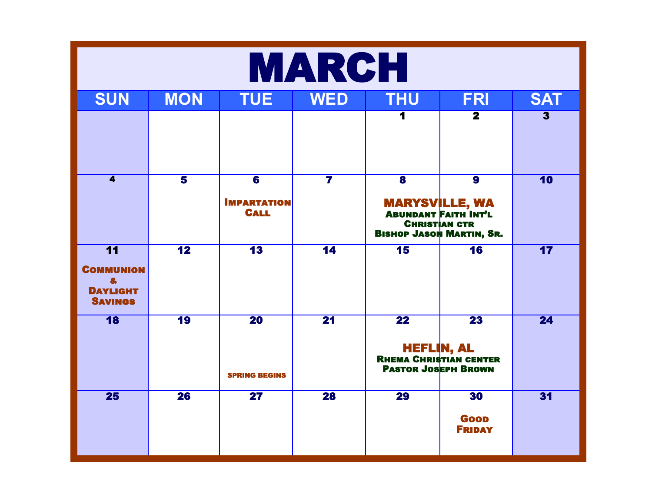|                                                                               | <b>MARCH</b>            |                                                              |                         |                                                                                                     |                                                                           |                         |  |  |  |
|-------------------------------------------------------------------------------|-------------------------|--------------------------------------------------------------|-------------------------|-----------------------------------------------------------------------------------------------------|---------------------------------------------------------------------------|-------------------------|--|--|--|
| <b>SUN</b>                                                                    | <b>MON</b>              | <b>TUE</b>                                                   | <b>WED</b>              | <b>THU</b>                                                                                          | <b>FRI</b>                                                                | <b>SAT</b>              |  |  |  |
|                                                                               |                         |                                                              |                         |                                                                                                     | $\overline{\mathbf{2}}$                                                   | $\overline{\mathbf{3}}$ |  |  |  |
| $\overline{\mathbf{4}}$                                                       | $\overline{\mathbf{5}}$ | $\overline{\mathbf{6}}$<br><b>IMPARTATION</b><br><b>CALL</b> | $\overline{\mathbf{7}}$ | $\overline{\mathbf{8}}$<br><b>CHRISTIAN CTR</b><br><b>BISHOP JASON MARTIN, SR.</b>                  | $\overline{\mathbf{9}}$<br><b>MARYSVILLE, WA<br/>ABUNDANT FAITH INT'L</b> | 10                      |  |  |  |
| $\overline{11}$<br><b>COMMUNION</b><br>8<br><b>DAYLIGHT</b><br><b>SAVINGS</b> | $\overline{12}$         | $\overline{\mathbf{13}}$                                     | $\overline{14}$         | 15                                                                                                  | $\overline{\mathbf{16}}$                                                  | 17                      |  |  |  |
| 18                                                                            | $\overline{19}$         | $\overline{20}$<br><b>SPRING BEGINS</b>                      | $\overline{21}$         | $\overline{22}$<br><b>HEFLIN, AL</b><br><b>RHEMA CHRISTIAN CENTER</b><br><b>PASTOR JOSEPH BROWN</b> | $\overline{23}$                                                           | 24                      |  |  |  |
| 25                                                                            | $\overline{26}$         | $\overline{\mathbf{27}}$                                     | $\overline{28}$         | <b>29</b>                                                                                           | 30<br><b>Goop</b><br><b>FRIDAY</b>                                        | 31                      |  |  |  |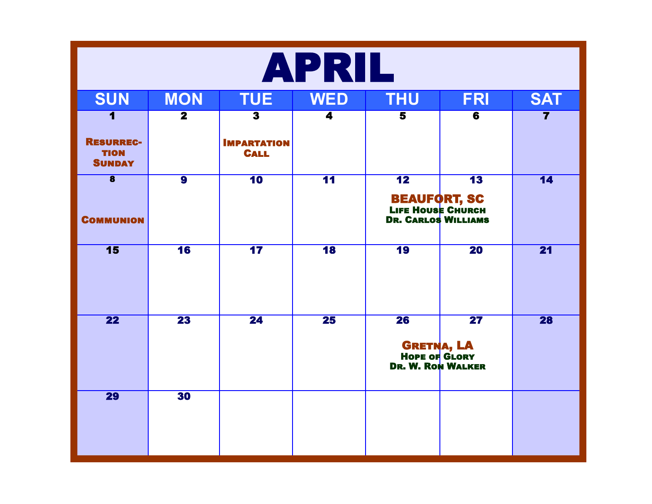| APRIL                                            |                         |                                   |                 |                                                                                               |                          |                         |  |  |  |
|--------------------------------------------------|-------------------------|-----------------------------------|-----------------|-----------------------------------------------------------------------------------------------|--------------------------|-------------------------|--|--|--|
| <b>SUN</b>                                       | <b>MON</b>              | <b>TUE</b>                        | <b>WED</b>      | <b>THU</b>                                                                                    | <b>FRI</b>               | <b>SAT</b>              |  |  |  |
| 1                                                | $\overline{\mathbf{2}}$ | $\overline{\mathbf{3}}$           | 4               | 5                                                                                             | $\overline{\mathbf{6}}$  | $\overline{\mathbf{7}}$ |  |  |  |
| <b>RESURREC-</b><br><b>TION</b><br><b>SUNDAY</b> |                         | <b>IMPARTATION</b><br><b>CALL</b> |                 |                                                                                               |                          |                         |  |  |  |
| $\overline{\mathbf{8}}$<br><b>COMMUNION</b>      | $\overline{9}$          | 10                                | $\overline{11}$ | $\overline{\mathbf{12}}$<br><b>BEAUFORT, SC<br/>Life House Church<br/>Dr. Carlos Williams</b> | $\overline{\mathbf{13}}$ | 14                      |  |  |  |
| 15                                               | 16                      | 17                                | 18              | 19                                                                                            | $\overline{20}$          | $\overline{21}$         |  |  |  |
| $\overline{22}$                                  | $\overline{23}$         | $\overline{24}$                   | $\overline{25}$ | $\overline{26}$<br><b>GRETNA, LA</b><br><b>HOPE OF GLORY</b><br><b>DR. W. RON WALKER</b>      | $\overline{\mathbf{27}}$ | <b>28</b>               |  |  |  |
| <b>29</b>                                        | 30                      |                                   |                 |                                                                                               |                          |                         |  |  |  |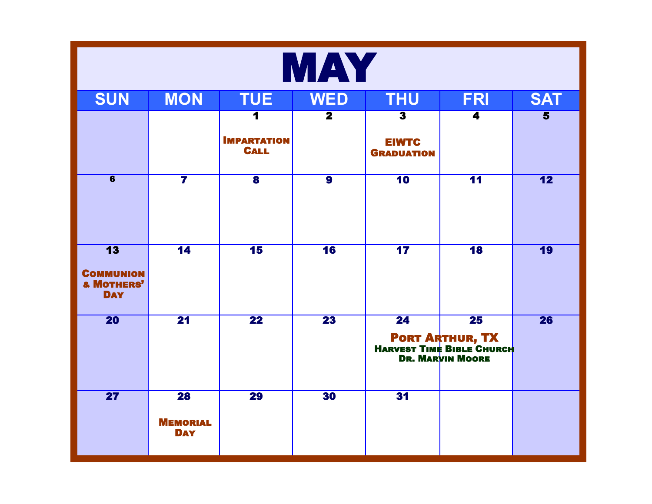|                                                                            | <b>MAY</b>                                       |                                                                    |                         |                                                              |                                                                                                   |                         |  |  |  |  |
|----------------------------------------------------------------------------|--------------------------------------------------|--------------------------------------------------------------------|-------------------------|--------------------------------------------------------------|---------------------------------------------------------------------------------------------------|-------------------------|--|--|--|--|
| <b>SUN</b>                                                                 | <b>MON</b>                                       | <b>TUE</b><br><b>WED</b><br><b>THU</b><br><b>FRI</b><br><b>SAT</b> |                         |                                                              |                                                                                                   |                         |  |  |  |  |
|                                                                            |                                                  | $\overline{\mathbf{1}}$<br><b>IMPARTATION</b><br><b>CALL</b>       | $\overline{\mathbf{2}}$ | $\overline{\mathbf{3}}$<br><b>EIWTC</b><br><b>GRADUATION</b> | 4                                                                                                 | $\overline{\mathbf{5}}$ |  |  |  |  |
| $\overline{6}$                                                             | $\overline{\mathbf{7}}$                          | $\overline{\mathbf{8}}$                                            | $\overline{\mathbf{9}}$ | 10                                                           | $\overline{11}$                                                                                   | 12                      |  |  |  |  |
| $\overline{13}$<br><b>COMMUNION</b><br><b>&amp; MOTHERS'</b><br><b>DAY</b> | $\overline{14}$                                  | $\overline{\mathbf{15}}$                                           | 16                      | $\overline{\mathbf{17}}$                                     | 18                                                                                                | <b>19</b>               |  |  |  |  |
| $\overline{20}$                                                            | $\overline{21}$                                  | $\overline{22}$                                                    | $\overline{23}$         | $\overline{24}$                                              | $\overline{25}$<br><b>PORT ARTHUR, TX</b><br>HARVEST TIME BIBLE CHURCH<br><b>DR. MARVIN MOORE</b> | $\overline{26}$         |  |  |  |  |
| $\overline{27}$                                                            | $\overline{28}$<br><b>MEMORIAL</b><br><b>DAY</b> | $\overline{29}$                                                    | 30                      | 31                                                           |                                                                                                   |                         |  |  |  |  |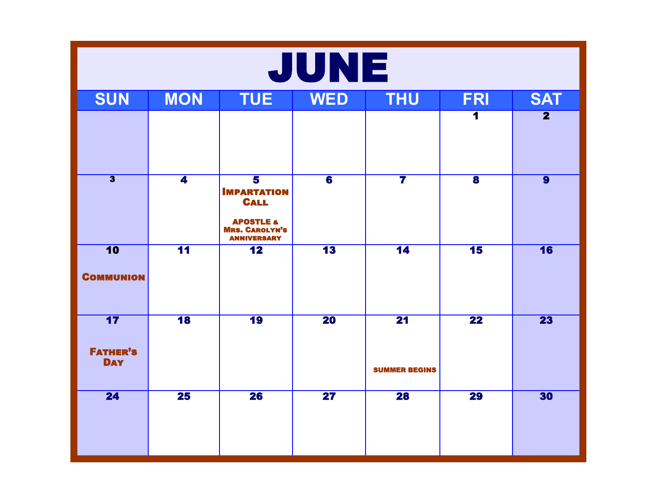| JUNE                                |                          |                                                                                                                                     |                          |                                         |                          |                         |  |  |
|-------------------------------------|--------------------------|-------------------------------------------------------------------------------------------------------------------------------------|--------------------------|-----------------------------------------|--------------------------|-------------------------|--|--|
| <b>SUN</b>                          | <b>MON</b>               | <b>TUE</b>                                                                                                                          | <b>WED</b>               | <b>THU</b>                              | <b>FRI</b>               | <b>SAT</b>              |  |  |
|                                     |                          |                                                                                                                                     |                          |                                         | 1                        | $\overline{\mathbf{2}}$ |  |  |
| $\overline{\mathbf{3}}$             | $\overline{\mathbf{4}}$  | $\overline{\mathbf{5}}$<br><b>IMPARTATION</b><br><b>CALL</b><br><b>APOSTLE &amp;</b><br><b>MRS. CAROLYN'S</b><br><b>ANNIVERSARY</b> | $\overline{\mathbf{6}}$  | $\overline{\mathbf{7}}$                 | $\overline{\mathbf{8}}$  | $\overline{9}$          |  |  |
| 10<br><b>COMMUNION</b>              | $\overline{11}$          | $\overline{\mathbf{12}}$                                                                                                            | $\overline{\mathbf{13}}$ | 14                                      | $\overline{\mathbf{15}}$ | 16                      |  |  |
| 17<br><b>FATHER'S</b><br><b>DAY</b> | $\overline{\mathbf{18}}$ | 19                                                                                                                                  | $\overline{20}$          | $\overline{21}$<br><b>SUMMER BEGINS</b> | $\overline{22}$          | $\overline{23}$         |  |  |
| 24                                  | $\overline{25}$          | $\overline{26}$                                                                                                                     | $\overline{\mathbf{27}}$ | <b>28</b>                               | $\overline{29}$          | 30                      |  |  |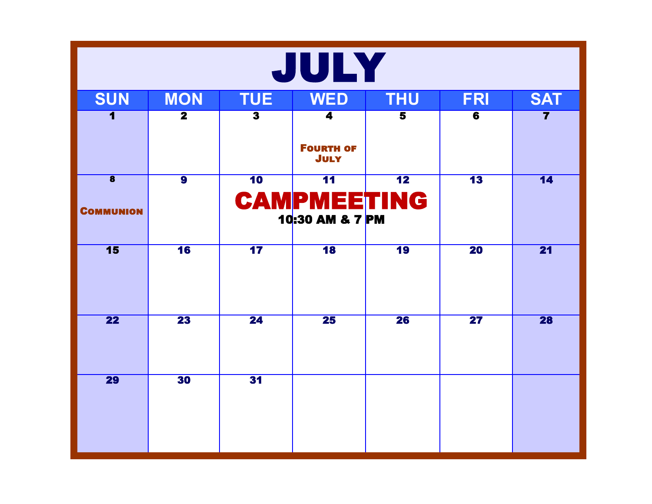| JULY                    |                         |                         |                                       |                          |                          |                         |  |  |
|-------------------------|-------------------------|-------------------------|---------------------------------------|--------------------------|--------------------------|-------------------------|--|--|
| <b>SUN</b>              | <b>MON</b>              | <b>TUE</b>              | <b>WED</b>                            | <b>THU</b>               | <b>FRI</b>               | <b>SAT</b>              |  |  |
| $\blacksquare$          | $\overline{\mathbf{2}}$ | $\overline{\mathbf{3}}$ | 4<br><b>FOURTH OF</b><br><b>JULY</b>  | $\overline{\mathbf{5}}$  | 6                        | $\overline{\mathbf{7}}$ |  |  |
| $\overline{\mathbf{8}}$ | $\overline{9}$          | 10                      | $\overline{11}$                       | $\overline{\textbf{12}}$ | $\overline{\textbf{13}}$ | 14                      |  |  |
| <b>COMMUNION</b>        |                         |                         | <b>CAMPMEETING</b><br>10:30 AM & 7 PM |                          |                          |                         |  |  |
| 15                      | 16                      | $\overline{17}$         | $\overline{\mathbf{18}}$              | 19                       | $\overline{20}$          | $\overline{21}$         |  |  |
| $\overline{22}$         | $\overline{23}$         | $\overline{24}$         | $\overline{25}$                       | $\overline{26}$          | $\overline{\mathbf{27}}$ | 28                      |  |  |
| <b>29</b>               | 30                      | 31                      |                                       |                          |                          |                         |  |  |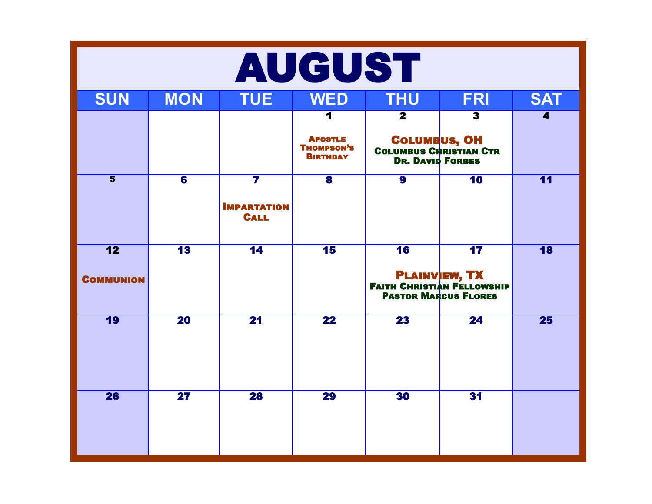|                         | <b>AUGUST</b>            |                                                              |                                                        |                                                                                  |                          |                         |  |  |  |
|-------------------------|--------------------------|--------------------------------------------------------------|--------------------------------------------------------|----------------------------------------------------------------------------------|--------------------------|-------------------------|--|--|--|
| <b>SUN</b>              | <b>MON</b>               | <b>TUE</b>                                                   | <b>WED</b>                                             | <b>THU</b>                                                                       | <b>FRI</b>               | <b>SAT</b>              |  |  |  |
|                         |                          |                                                              | 1                                                      | $\overline{\mathbf{2}}$                                                          | $\overline{\mathbf{3}}$  | $\overline{\mathbf{4}}$ |  |  |  |
|                         |                          |                                                              | <b>APOSTLE</b><br><b>THOMPSON'S</b><br><b>BIRTHDAY</b> | <b>COLUMBUS, OH</b><br><b>COLUMBUS CHRISTIAN CTR</b><br><b>DR. DAVID FORBES</b>  |                          |                         |  |  |  |
| $\overline{\mathbf{5}}$ | $\overline{\mathbf{6}}$  | $\overline{\mathbf{7}}$<br><b>IMPARTATION</b><br><b>CALL</b> | $\overline{\mathbf{8}}$                                | $\overline{\mathbf{9}}$                                                          | $\overline{\mathbf{10}}$ | $\overline{11}$         |  |  |  |
| $\overline{12}$         | $\overline{\mathbf{13}}$ | $\overline{14}$                                              | $\overline{\mathbf{15}}$                               | 16                                                                               | $\overline{17}$          | $\overline{18}$         |  |  |  |
| <b>COMMUNION</b>        |                          |                                                              |                                                        | <b>PLAINVEW, TX</b><br>Faith Christian Fellowship<br><b>PASTOR MARCUS FLORES</b> |                          |                         |  |  |  |
| $\overline{19}$         | $\overline{20}$          | $\overline{21}$                                              | $\overline{22}$                                        | $\overline{23}$                                                                  | $\overline{24}$          | 25                      |  |  |  |
| 26                      | $\overline{\mathbf{27}}$ | 28                                                           | 29                                                     | 30                                                                               | 31                       |                         |  |  |  |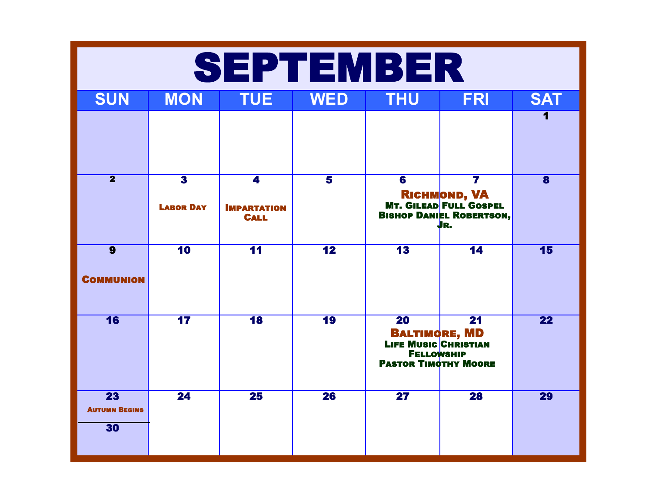|                                    | <b>SEPTEMBER</b>                            |                                                              |                         |                                                                                                                            |                                                                                                                     |                         |  |  |  |  |
|------------------------------------|---------------------------------------------|--------------------------------------------------------------|-------------------------|----------------------------------------------------------------------------------------------------------------------------|---------------------------------------------------------------------------------------------------------------------|-------------------------|--|--|--|--|
| <b>SUN</b>                         | <b>MON</b>                                  | <b>TUE</b>                                                   | <b>WED</b>              | <b>THU</b>                                                                                                                 | <b>FRI</b>                                                                                                          | <b>SAT</b>              |  |  |  |  |
|                                    |                                             |                                                              |                         |                                                                                                                            |                                                                                                                     |                         |  |  |  |  |
| $\overline{\mathbf{2}}$            | $\overline{\mathbf{3}}$<br><b>LABOR DAY</b> | $\overline{\mathbf{4}}$<br><b>IMPARTATION</b><br><b>CALL</b> | $\overline{\mathbf{5}}$ | $\overline{\mathbf{6}}$                                                                                                    | $\overline{\mathbf{7}}$<br><b>RICHMOND, VA<br/>MT. GILEAD FULL GOSPEL</b><br><b>BISHOP DANIEL ROBERTSON,</b><br>JR. | $\overline{\mathbf{8}}$ |  |  |  |  |
| $\overline{9}$<br><b>COMMUNION</b> | $\overline{10}$                             | $\overline{11}$                                              | $\overline{12}$         | $\overline{13}$                                                                                                            | $\overline{14}$                                                                                                     | 15                      |  |  |  |  |
| $\overline{16}$                    | $\overline{17}$                             | $\overline{18}$                                              | <b>19</b>               | $\overline{20}$<br><b>BALTIMORE, MD</b><br><b>LIFE MUSIC CHRISTIAN</b><br><b>FELLOWSHIP</b><br><b>PASTOR TIMOTHY MOORE</b> | $\overline{21}$                                                                                                     | 22                      |  |  |  |  |
| 23<br><b>AUTUMN BEGINS</b><br>30   | $\overline{24}$                             | $\overline{25}$                                              | 26                      | $\overline{{\bf 27}}$                                                                                                      | $\overline{28}$                                                                                                     | 29                      |  |  |  |  |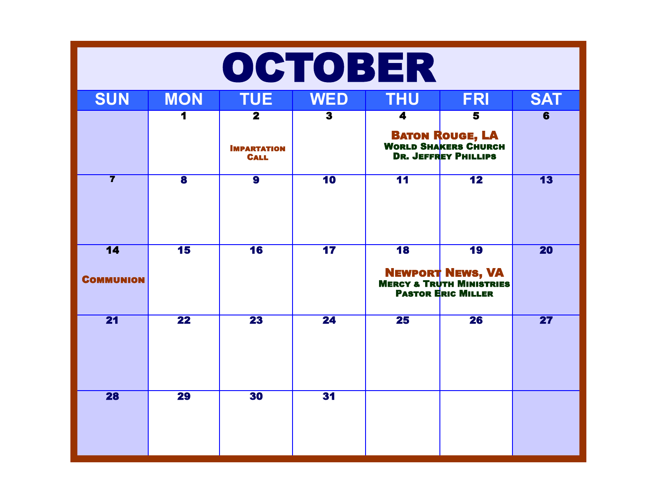|                                     | OCTOBER                 |                                   |                          |                          |                                                                                        |                          |  |  |  |  |
|-------------------------------------|-------------------------|-----------------------------------|--------------------------|--------------------------|----------------------------------------------------------------------------------------|--------------------------|--|--|--|--|
| <b>SUN</b>                          | <b>MON</b>              | <b>TUE</b>                        | <b>WED</b>               | <b>THU</b>               | <b>FRI</b>                                                                             | <b>SAT</b>               |  |  |  |  |
|                                     |                         | $\overline{\mathbf{2}}$           | $\overline{\mathbf{3}}$  | 4                        | $\overline{\mathbf{5}}$                                                                | $\overline{\mathbf{6}}$  |  |  |  |  |
|                                     |                         | <b>IMPARTATION</b><br><b>CALL</b> |                          |                          | <b>BATON ROUGE, LA</b><br><b>WORLD SHAKERS CHURCH</b><br><b>DR. JEFFREY PHILLIPS</b>   |                          |  |  |  |  |
| $\overline{\mathbf{7}}$             | $\overline{\mathbf{8}}$ | $\overline{9}$                    | $\overline{10}$          | $\overline{11}$          | $\overline{12}$                                                                        | $\overline{13}$          |  |  |  |  |
| $\overline{14}$<br><b>COMMUNION</b> | 15                      | 16                                | $\overline{\mathbf{17}}$ | $\overline{\mathbf{18}}$ | 19<br><b>NEWPORT NEWS, VA</b><br>MERCY & TRUTH MINISTRIES<br><b>PASTOR ERIC MILLER</b> | <b>20</b>                |  |  |  |  |
| 21                                  | $\overline{22}$         | $\overline{23}$                   | $\overline{24}$          | $\overline{25}$          | $\overline{26}$                                                                        | $\overline{\mathbf{27}}$ |  |  |  |  |
| 28                                  | $\overline{29}$         | 30                                | 31                       |                          |                                                                                        |                          |  |  |  |  |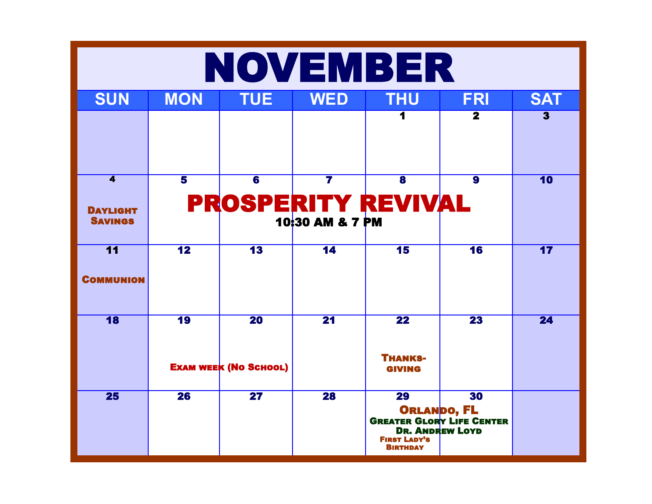